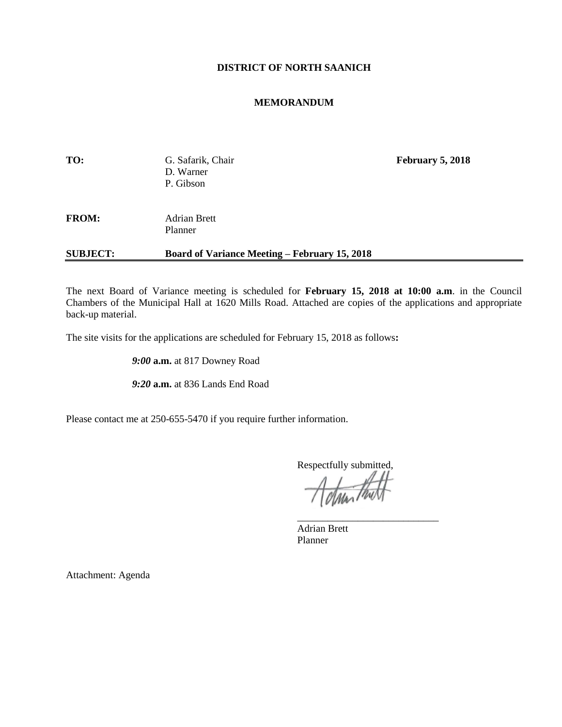## **DISTRICT OF NORTH SAANICH**

## **MEMORANDUM**

| TO:             | G. Safarik, Chair<br>D. Warner<br>P. Gibson          | <b>February 5, 2018</b> |
|-----------------|------------------------------------------------------|-------------------------|
| <b>FROM:</b>    | <b>Adrian Brett</b><br>Planner                       |                         |
| <b>SUBJECT:</b> | <b>Board of Variance Meeting – February 15, 2018</b> |                         |

The next Board of Variance meeting is scheduled for **February 15, 2018 at 10:00 a.m**. in the Council Chambers of the Municipal Hall at 1620 Mills Road. Attached are copies of the applications and appropriate back-up material.

The site visits for the applications are scheduled for February 15, 2018 as follows**:**

*9:00* **a.m.** at 817 Downey Road

*9:20* **a.m.** at 836 Lands End Road

Please contact me at 250-655-5470 if you require further information.

Respectfully submitted,

\_\_\_\_\_\_\_\_\_\_\_\_\_\_\_\_\_\_\_\_\_\_\_\_\_\_\_\_

Adrian Brett Planner

Attachment: Agenda